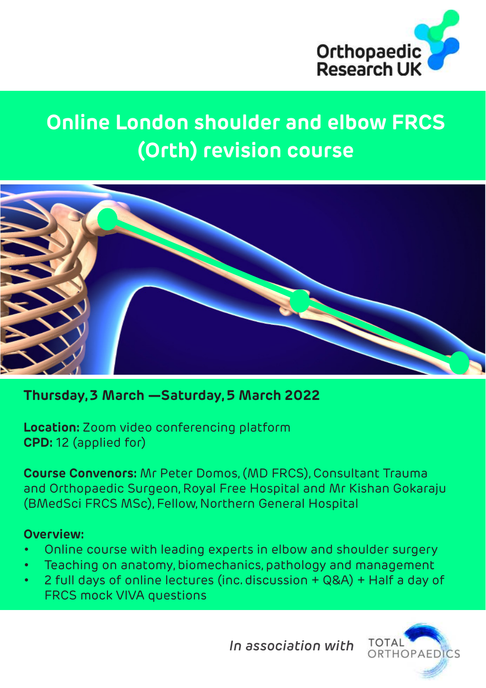

## **Online London shoulder and elbow FRCS (Orth) revision course**



#### **Thursday, 3 March —Saturday, 5 March 2022**

**Location:** Zoom video conferencing platform **CPD:** 12 (applied for)

**Course Convenors:** Mr Peter Domos, (MD FRCS), Consultant Trauma and Orthopaedic Surgeon, Royal Free Hospital and Mr Kishan Gokaraju (BMedSci FRCS MSc), Fellow, Northern General Hospital

#### **Overview:**

- Online course with leading experts in elbow and shoulder surgery
- Teaching on anatomy, biomechanics, pathology and management
- 2 full days of online lectures (inc. discussion + Q&A) + Half a day of FRCS mock VIVA questions

*In association with*

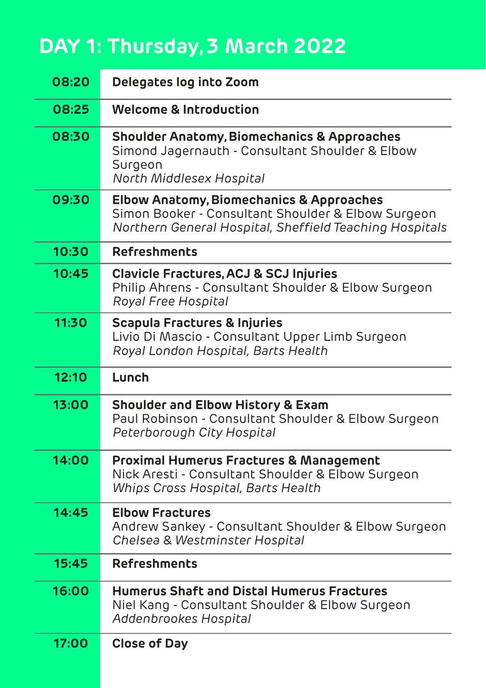# **DAY 1: Thursday, 3 March 2022**

| 08:20 | Delegates log into Zoom                                                                                                                                              |
|-------|----------------------------------------------------------------------------------------------------------------------------------------------------------------------|
| 08:25 | <b>Welcome &amp; Introduction</b>                                                                                                                                    |
| 08:30 | <b>Shoulder Anatomy, Biomechanics &amp; Approaches</b><br>Simond Jagernauth - Consultant Shoulder & Elbow<br>Surgeon<br>North Middlesex Hospital                     |
| 09:30 | <b>Elbow Anatomy, Biomechanics &amp; Approaches</b><br>Simon Booker - Consultant Shoulder & Elbow Surgeon<br>Northern General Hospital, Sheffield Teaching Hospitals |
| 10:30 | <b>Refreshments</b>                                                                                                                                                  |
| 10:45 | <b>Clavicle Fractures, ACJ &amp; SCJ Injuries</b><br>Philip Ahrens - Consultant Shoulder & Elbow Surgeon<br>Royal Free Hospital                                      |
| 11:30 | <b>Scapula Fractures &amp; Injuries</b><br>Livio Di Mascio - Consultant Upper Limb Surgeon<br>Royal London Hospital, Barts Health                                    |
|       |                                                                                                                                                                      |
| 12:10 | Lunch                                                                                                                                                                |
| 13:00 | <b>Shoulder and Elbow History &amp; Exam</b><br>Paul Robinson - Consultant Shoulder & Elbow Surgeon<br>Peterborough City Hospital                                    |
| 14:00 | <b>Proximal Humerus Fractures &amp; Management</b><br>Nick Aresti - Consultant Shoulder & Elbow Surgeon<br>Whips Cross Hospital, Barts Health                        |
| 14:45 | <b>Elbow Fractures</b><br>Andrew Sankey - Consultant Shoulder & Elbow Surgeon<br>Chelsea & Westminster Hospital                                                      |
| 15:45 | <b>Refreshments</b>                                                                                                                                                  |
| 16:00 | <b>Humerus Shaft and Distal Humerus Fractures</b><br>Niel Kang - Consultant Shoulder & Elbow Surgeon<br>Addenbrookes Hospital                                        |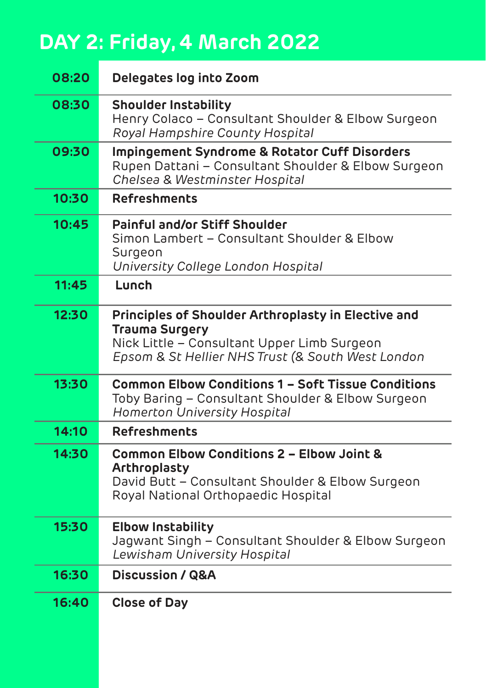# **DAY 2: Friday, 4 March 2022**

| 08:20 | Delegates log into Zoom                                                                                                                                                          |
|-------|----------------------------------------------------------------------------------------------------------------------------------------------------------------------------------|
| 08:30 | <b>Shoulder Instability</b><br>Henry Colaco - Consultant Shoulder & Elbow Surgeon<br>Royal Hampshire County Hospital                                                             |
| 09:30 | Impingement Syndrome & Rotator Cuff Disorders<br>Rupen Dattani - Consultant Shoulder & Elbow Surgeon<br>Chelsea & Westminster Hospital                                           |
| 10:30 | <b>Refreshments</b>                                                                                                                                                              |
| 10:45 | <b>Painful and/or Stiff Shoulder</b><br>Simon Lambert - Consultant Shoulder & Elbow<br>Surgeon<br>University College London Hospital                                             |
| 11:45 | Lunch                                                                                                                                                                            |
| 12:30 | Principles of Shoulder Arthroplasty in Elective and<br><b>Trauma Surgery</b><br>Nick Little - Consultant Upper Limb Surgeon<br>Epsom & St Hellier NHS Trust (& South West London |
| 13:30 | <b>Common Elbow Conditions 1 - Soft Tissue Conditions</b><br>Toby Baring - Consultant Shoulder & Elbow Surgeon<br>Homerton University Hospital                                   |
| 14:10 | <b>Refreshments</b>                                                                                                                                                              |
| 14:30 | Common Elbow Conditions 2 - Elbow Joint &<br>Arthroplasty<br>David Butt - Consultant Shoulder & Elbow Surgeon<br>Royal National Orthopaedic Hospital                             |
| 15:30 | <b>Elbow Instability</b><br>Jagwant Singh - Consultant Shoulder & Elbow Surgeon<br>Lewisham University Hospital                                                                  |
| 16:30 | <b>Discussion / Q&amp;A</b>                                                                                                                                                      |
| 16:40 | <b>Close of Day</b>                                                                                                                                                              |